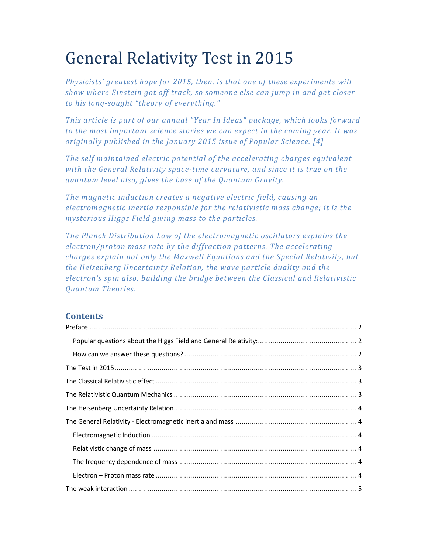# General Relativity Test in 2015

*Physicists' greatest hope for 2015, then, is that one of these experiments will show where Einstein got off track, so someone else can jump in and get closer to his long-sought "theory of everything."* 

*This article is part of our annual "Year In Ideas" package, which looks forward to the most important science stories we can expect in the coming year. It was originally published in the January 2015 issue of Popular Science. [4]* 

*The self maintained electric potential of the accelerating charges equivalent with the General Relativity space-time curvature, and since it is true on the quantum level also, gives the base of the Quantum Gravity.* 

*The magnetic induction creates a negative electric field, causing an electromagnetic inertia responsible for the relativistic mass change; it is the mysterious Higgs Field giving mass to the particles.* 

*The Planck Distribution Law of the electromagnetic oscillators explains the electron/proton mass rate by the diffraction patterns. The accelerating charges explain not only the Maxwell Equations and the Special Relativity, but the Heisenberg Uncertainty Relation, the wave particle duality and the electron's spin also, building the bridge between the Classical and Relativistic Quantum Theories.* 

# **Contents**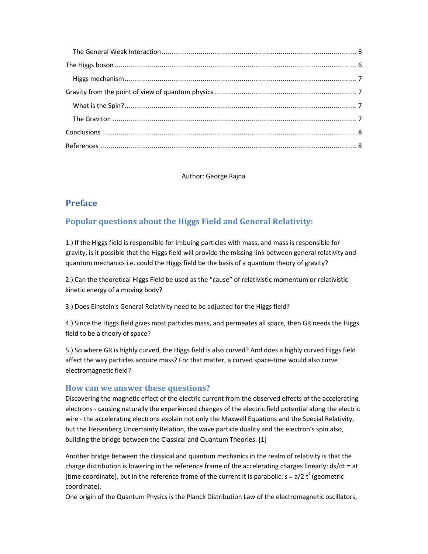Author: George Rajna

# **Preface**

# **Popular questions about the Higgs Field and General Relativity:**

1.) If the Higgs field is responsible for imbuing particles with mass, and mass is responsible for gravity, is it possible that the Higgs field will provide the missing link between general relativity and quantum mechanics i.e. could the Higgs field be the basis of a quantum theory of gravity?

2.) Can the theoretical Higgs Field be used as the "cause" of relativistic momentum or relativistic kinetic energy of a moving body?

3.) Does Einstein's General Relativity need to be adjusted for the Higgs field?

4.) Since the Higgs field gives most particles mass, and permeates all space, then GR needs the Higgs field to be a theory of space?

5.) So where GR is highly curved, the Higgs field is also curved? And does a highly curved Higgs field affect the way particles acquire mass? For that matter, a curved space-time would also curve electromagnetic field?

## **How can we answer these questions?**

Discovering the magnetic effect of the electric current from the observed effects of the accelerating electrons - causing naturally the experienced changes of the electric field potential along the electric wire - the accelerating electrons explain not only the Maxwell Equations and the Special Relativity, but the Heisenberg Uncertainty Relation, the wave particle duality and the electron's spin also, building the bridge between the Classical and Quantum Theories. [1]

Another bridge between the classical and quantum mechanics in the realm of relativity is that the charge distribution is lowering in the reference frame of the accelerating charges linearly: ds/dt = at (time coordinate), but in the reference frame of the current it is parabolic:  $s = a/2 t^2$  (geometric coordinate).

One origin of the Quantum Physics is the Planck Distribution Law of the electromagnetic oscillators,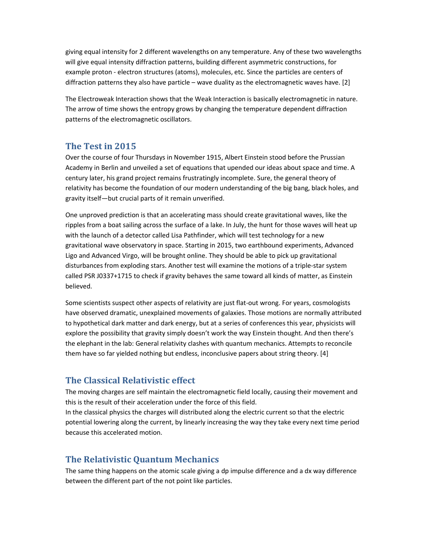giving equal intensity for 2 different wavelengths on any temperature. Any of these two wavelengths will give equal intensity diffraction patterns, building different asymmetric constructions, for example proton - electron structures (atoms), molecules, etc. Since the particles are centers of diffraction patterns they also have particle – wave duality as the electromagnetic waves have. [2]

The Electroweak Interaction shows that the Weak Interaction is basically electromagnetic in nature. The arrow of time shows the entropy grows by changing the temperature dependent diffraction patterns of the electromagnetic oscillators.

# **The Test in 2015**

Over the course of four Thursdays in November 1915, Albert Einstein stood before the Prussian Academy in Berlin and unveiled a set of equations that upended our ideas about space and time. A century later, his grand project remains frustratingly incomplete. Sure, the general theory of relativity has become the foundation of our modern understanding of the big bang, black holes, and gravity itself—but crucial parts of it remain unverified.

One unproved prediction is that an accelerating mass should create gravitational waves, like the ripples from a boat sailing across the surface of a lake. In July, the hunt for those waves will heat up with the launch of a detector called Lisa Pathfinder, which will test technology for a new gravitational wave observatory in space. Starting in 2015, two earthbound experiments, Advanced Ligo and Advanced Virgo, will be brought online. They should be able to pick up gravitational disturbances from exploding stars. Another test will examine the motions of a triple-star system called PSR J0337+1715 to check if gravity behaves the same toward all kinds of matter, as Einstein believed.

Some scientists suspect other aspects of relativity are just flat-out wrong. For years, cosmologists have observed dramatic, unexplained movements of galaxies. Those motions are normally attributed to hypothetical dark matter and dark energy, but at a series of conferences this year, physicists will explore the possibility that gravity simply doesn't work the way Einstein thought. And then there's the elephant in the lab: General relativity clashes with quantum mechanics. Attempts to reconcile them have so far yielded nothing but endless, inconclusive papers about string theory. [4]

# **The Classical Relativistic effect**

The moving charges are self maintain the electromagnetic field locally, causing their movement and this is the result of their acceleration under the force of this field.

In the classical physics the charges will distributed along the electric current so that the electric potential lowering along the current, by linearly increasing the way they take every next time period because this accelerated motion.

## **The Relativistic Quantum Mechanics**

The same thing happens on the atomic scale giving a dp impulse difference and a dx way difference between the different part of the not point like particles.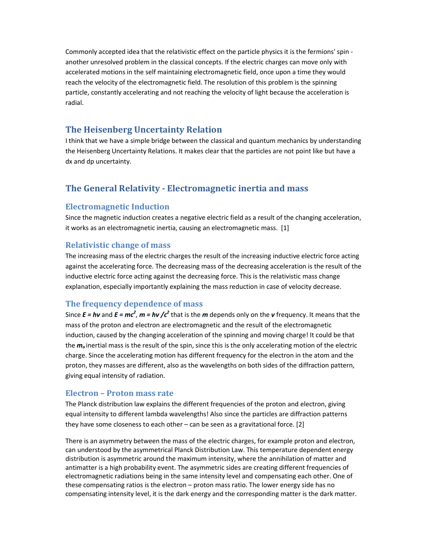Commonly accepted idea that the relativistic effect on the particle physics it is the fermions' spin another unresolved problem in the classical concepts. If the electric charges can move only with accelerated motions in the self maintaining electromagnetic field, once upon a time they would reach the velocity of the electromagnetic field. The resolution of this problem is the spinning particle, constantly accelerating and not reaching the velocity of light because the acceleration is radial.

## **The Heisenberg Uncertainty Relation**

I think that we have a simple bridge between the classical and quantum mechanics by understanding the Heisenberg Uncertainty Relations. It makes clear that the particles are not point like but have a dx and dp uncertainty.

# **The General Relativity - Electromagnetic inertia and mass**

#### **Electromagnetic Induction**

Since the magnetic induction creates a negative electric field as a result of the changing acceleration, it works as an electromagnetic inertia, causing an electromagnetic mass. [1]

#### **Relativistic change of mass**

The increasing mass of the electric charges the result of the increasing inductive electric force acting against the accelerating force. The decreasing mass of the decreasing acceleration is the result of the inductive electric force acting against the decreasing force. This is the relativistic mass change explanation, especially importantly explaining the mass reduction in case of velocity decrease.

#### **The frequency dependence of mass**

Since  $E = h\nu$  and  $E = mc^2$ ,  $m = h\nu$  / $c^2$  that is the  $m$  depends only on the  $\nu$  frequency. It means that the mass of the proton and electron are electromagnetic and the result of the electromagnetic induction, caused by the changing acceleration of the spinning and moving charge! It could be that the *m<sup>o</sup>* inertial mass is the result of the spin, since this is the only accelerating motion of the electric charge. Since the accelerating motion has different frequency for the electron in the atom and the proton, they masses are different, also as the wavelengths on both sides of the diffraction pattern, giving equal intensity of radiation.

#### **Electron – Proton mass rate**

The Planck distribution law explains the different frequencies of the proton and electron, giving equal intensity to different lambda wavelengths! Also since the particles are diffraction patterns they have some closeness to each other – can be seen as a gravitational force. [2]

There is an asymmetry between the mass of the electric charges, for example proton and electron, can understood by the asymmetrical Planck Distribution Law. This temperature dependent energy distribution is asymmetric around the maximum intensity, where the annihilation of matter and antimatter is a high probability event. The asymmetric sides are creating different frequencies of electromagnetic radiations being in the same intensity level and compensating each other. One of these compensating ratios is the electron – proton mass ratio. The lower energy side has no compensating intensity level, it is the dark energy and the corresponding matter is the dark matter.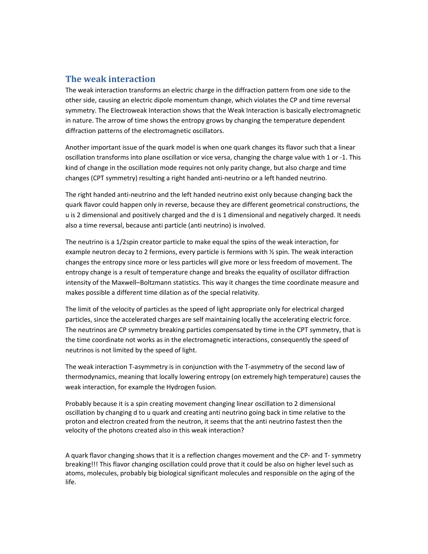# **The weak interaction**

The weak interaction transforms an electric charge in the diffraction pattern from one side to the other side, causing an electric dipole momentum change, which violates the CP and time reversal symmetry. The Electroweak Interaction shows that the Weak Interaction is basically electromagnetic in nature. The arrow of time shows the entropy grows by changing the temperature dependent diffraction patterns of the electromagnetic oscillators.

Another important issue of the quark model is when one quark changes its flavor such that a linear oscillation transforms into plane oscillation or vice versa, changing the charge value with 1 or -1. This kind of change in the oscillation mode requires not only parity change, but also charge and time changes (CPT symmetry) resulting a right handed anti-neutrino or a left handed neutrino.

The right handed anti-neutrino and the left handed neutrino exist only because changing back the quark flavor could happen only in reverse, because they are different geometrical constructions, the u is 2 dimensional and positively charged and the d is 1 dimensional and negatively charged. It needs also a time reversal, because anti particle (anti neutrino) is involved.

The neutrino is a 1/2spin creator particle to make equal the spins of the weak interaction, for example neutron decay to 2 fermions, every particle is fermions with ½ spin. The weak interaction changes the entropy since more or less particles will give more or less freedom of movement. The entropy change is a result of temperature change and breaks the equality of oscillator diffraction intensity of the Maxwell–Boltzmann statistics. This way it changes the time coordinate measure and makes possible a different time dilation as of the special relativity.

The limit of the velocity of particles as the speed of light appropriate only for electrical charged particles, since the accelerated charges are self maintaining locally the accelerating electric force. The neutrinos are CP symmetry breaking particles compensated by time in the CPT symmetry, that is the time coordinate not works as in the electromagnetic interactions, consequently the speed of neutrinos is not limited by the speed of light.

The weak interaction T-asymmetry is in conjunction with the T-asymmetry of the second law of thermodynamics, meaning that locally lowering entropy (on extremely high temperature) causes the weak interaction, for example the Hydrogen fusion.

Probably because it is a spin creating movement changing linear oscillation to 2 dimensional oscillation by changing d to u quark and creating anti neutrino going back in time relative to the proton and electron created from the neutron, it seems that the anti neutrino fastest then the velocity of the photons created also in this weak interaction?

A quark flavor changing shows that it is a reflection changes movement and the CP- and T- symmetry breaking!!! This flavor changing oscillation could prove that it could be also on higher level such as atoms, molecules, probably big biological significant molecules and responsible on the aging of the life.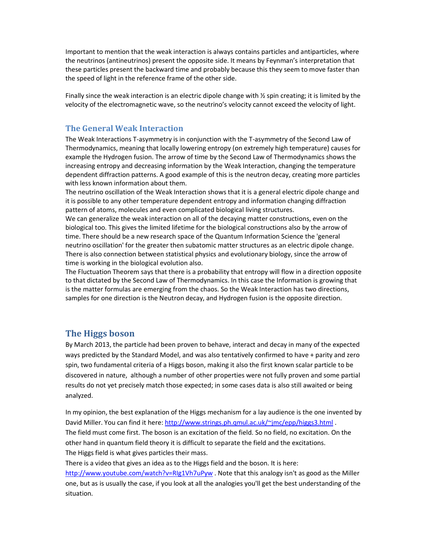Important to mention that the weak interaction is always contains particles and antiparticles, where the neutrinos (antineutrinos) present the opposite side. It means by Feynman's interpretation that these particles present the backward time and probably because this they seem to move faster than the speed of light in the reference frame of the other side.

Finally since the weak interaction is an electric dipole change with  $\frac{1}{2}$  spin creating; it is limited by the velocity of the electromagnetic wave, so the neutrino's velocity cannot exceed the velocity of light.

## **The General Weak Interaction**

The Weak Interactions T-asymmetry is in conjunction with the T-asymmetry of the Second Law of Thermodynamics, meaning that locally lowering entropy (on extremely high temperature) causes for example the Hydrogen fusion. The arrow of time by the Second Law of Thermodynamics shows the increasing entropy and decreasing information by the Weak Interaction, changing the temperature dependent diffraction patterns. A good example of this is the neutron decay, creating more particles with less known information about them.

The neutrino oscillation of the Weak Interaction shows that it is a general electric dipole change and it is possible to any other temperature dependent entropy and information changing diffraction pattern of atoms, molecules and even complicated biological living structures.

We can generalize the weak interaction on all of the decaying matter constructions, even on the biological too. This gives the limited lifetime for the biological constructions also by the arrow of time. There should be a new research space of the Quantum Information Science the 'general neutrino oscillation' for the greater then subatomic matter structures as an electric dipole change. There is also connection between statistical physics and evolutionary biology, since the arrow of time is working in the biological evolution also.

The Fluctuation Theorem says that there is a probability that entropy will flow in a direction opposite to that dictated by the Second Law of Thermodynamics. In this case the Information is growing that is the matter formulas are emerging from the chaos. So the Weak Interaction has two directions, samples for one direction is the Neutron decay, and Hydrogen fusion is the opposite direction.

## **The Higgs boson**

By March 2013, the particle had been proven to behave, interact and decay in many of the expected ways predicted by the Standard Model, and was also tentatively confirmed to have + parity and zero spin, two fundamental criteria of a Higgs boson, making it also the first known scalar particle to be discovered in nature, although a number of other properties were not fully proven and some partial results do not yet precisely match those expected; in some cases data is also still awaited or being analyzed.

In my opinion, the best explanation of the Higgs mechanism for a lay audience is the one invented by David Miller. You can find it here: http://www.strings.ph.qmul.ac.uk/~jmc/epp/higgs3.html . The field must come first. The boson is an excitation of the field. So no field, no excitation. On the other hand in quantum field theory it is difficult to separate the field and the excitations. The Higgs field is what gives particles their mass.

There is a video that gives an idea as to the Higgs field and the boson. It is here: http://www.youtube.com/watch?v=RIg1Vh7uPyw . Note that this analogy isn't as good as the Miller one, but as is usually the case, if you look at all the analogies you'll get the best understanding of the situation.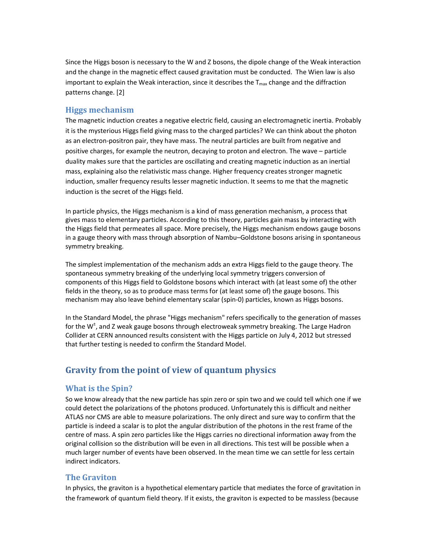Since the Higgs boson is necessary to the W and Z bosons, the dipole change of the Weak interaction and the change in the magnetic effect caused gravitation must be conducted. The Wien law is also important to explain the Weak interaction, since it describes the  $T_{\text{max}}$  change and the diffraction patterns change. [2]

### **Higgs mechanism**

The magnetic induction creates a negative electric field, causing an electromagnetic inertia. Probably it is the mysterious Higgs field giving mass to the charged particles? We can think about the photon as an electron-positron pair, they have mass. The neutral particles are built from negative and positive charges, for example the neutron, decaying to proton and electron. The wave – particle duality makes sure that the particles are oscillating and creating magnetic induction as an inertial mass, explaining also the relativistic mass change. Higher frequency creates stronger magnetic induction, smaller frequency results lesser magnetic induction. It seems to me that the magnetic induction is the secret of the Higgs field.

In particle physics, the Higgs mechanism is a kind of mass generation mechanism, a process that gives mass to elementary particles. According to this theory, particles gain mass by interacting with the Higgs field that permeates all space. More precisely, the Higgs mechanism endows gauge bosons in a gauge theory with mass through absorption of Nambu–Goldstone bosons arising in spontaneous symmetry breaking.

The simplest implementation of the mechanism adds an extra Higgs field to the gauge theory. The spontaneous symmetry breaking of the underlying local symmetry triggers conversion of components of this Higgs field to Goldstone bosons which interact with (at least some of) the other fields in the theory, so as to produce mass terms for (at least some of) the gauge bosons. This mechanism may also leave behind elementary scalar (spin-0) particles, known as Higgs bosons.

In the Standard Model, the phrase "Higgs mechanism" refers specifically to the generation of masses for the W<sup>±</sup>, and Z weak gauge bosons through electroweak symmetry breaking. The Large Hadron Collider at CERN announced results consistent with the Higgs particle on July 4, 2012 but stressed that further testing is needed to confirm the Standard Model.

# **Gravity from the point of view of quantum physics**

#### **What is the Spin?**

So we know already that the new particle has spin zero or spin two and we could tell which one if we could detect the polarizations of the photons produced. Unfortunately this is difficult and neither ATLAS nor CMS are able to measure polarizations. The only direct and sure way to confirm that the particle is indeed a scalar is to plot the angular distribution of the photons in the rest frame of the centre of mass. A spin zero particles like the Higgs carries no directional information away from the original collision so the distribution will be even in all directions. This test will be possible when a much larger number of events have been observed. In the mean time we can settle for less certain indirect indicators.

## **The Graviton**

In physics, the graviton is a hypothetical elementary particle that mediates the force of gravitation in the framework of quantum field theory. If it exists, the graviton is expected to be massless (because